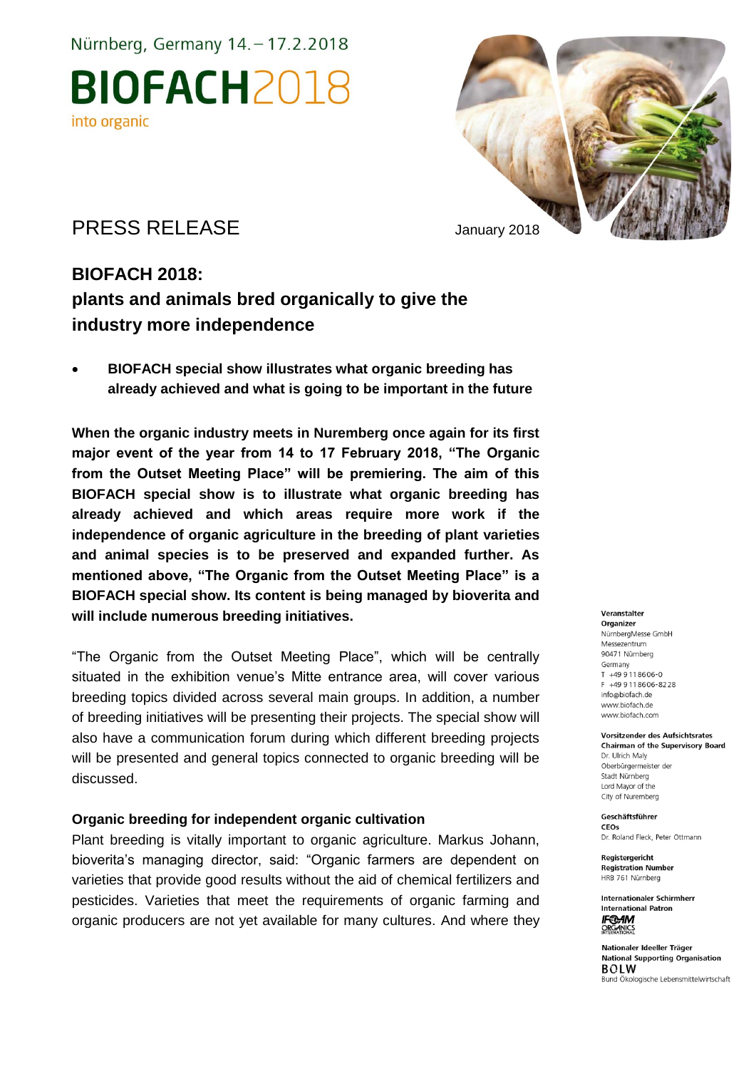Nürnberg, Germany 14. - 17.2.2018

**BIOFACH2018** into organic



## PRESS RELEASE January 2018

## **BIOFACH 2018: plants and animals bred organically to give the industry more independence**

 **BIOFACH special show illustrates what organic breeding has already achieved and what is going to be important in the future** 

**When the organic industry meets in Nuremberg once again for its first major event of the year from 14 to 17 February 2018, "The Organic from the Outset Meeting Place" will be premiering. The aim of this BIOFACH special show is to illustrate what organic breeding has already achieved and which areas require more work if the independence of organic agriculture in the breeding of plant varieties and animal species is to be preserved and expanded further. As mentioned above, "The Organic from the Outset Meeting Place" is a BIOFACH special show. Its content is being managed by bioverita and will include numerous breeding initiatives.** 

"The Organic from the Outset Meeting Place", which will be centrally situated in the exhibition venue's Mitte entrance area, will cover various breeding topics divided across several main groups. In addition, a number of breeding initiatives will be presenting their projects. The special show will also have a communication forum during which different breeding projects will be presented and general topics connected to organic breeding will be discussed.

### **Organic breeding for independent organic cultivation**

Plant breeding is vitally important to organic agriculture. Markus Johann, bioverita's managing director, said: "Organic farmers are dependent on varieties that provide good results without the aid of chemical fertilizers and pesticides. Varieties that meet the requirements of organic farming and organic producers are not yet available for many cultures. And where they

#### Veranstalter

Organizer NürnbergMesse GmbH Messezentrum 90471 Nürnberg Germany  $T + 499118606 - 0$ F +49 9 11 8 6 0 6 - 8 2 2 8 info@biofach.de www.biofach.de www.biofach.com

#### Vorsitzender des Aufsichtsrates **Chairman of the Supervisory Board** Dr. Ulrich Maly Oberbürgermeister de

Stadt Nürnberg Lord Mayor of the City of Nuremberg

Geschäftsführer CEOs

Dr. Roland Fleck, Peter Ottmann

Reaisteraericht **Registration Number** HRB 761 Nürnberg

**Internationaler Schirmherr International Patron IF®AM**<br>ORGANICS

Nationaler Ideeller Träger **National Supporting Organisation BOLW** Bund Ökologische Lebensmittelwirtschaft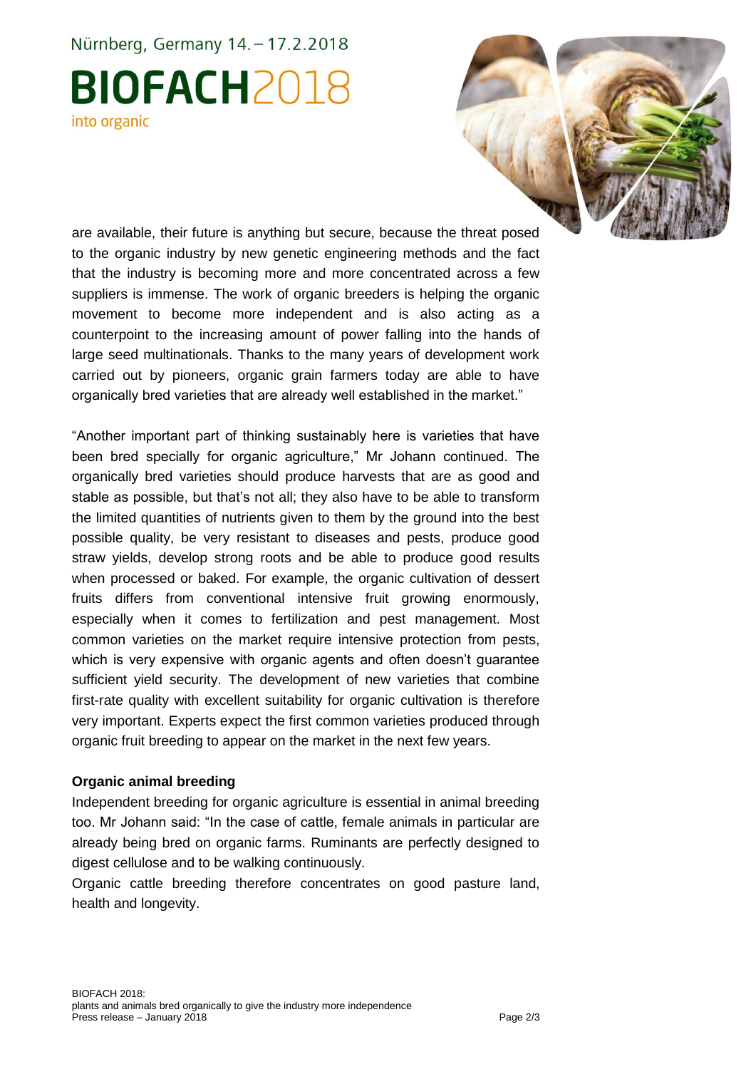# Nürnberg, Germany 14. - 17.2.2018 **BIOFACH2018** into organic



are available, their future is anything but secure, because the threat posed to the organic industry by new genetic engineering methods and the fact that the industry is becoming more and more concentrated across a few suppliers is immense. The work of organic breeders is helping the organic movement to become more independent and is also acting as a counterpoint to the increasing amount of power falling into the hands of large seed multinationals. Thanks to the many years of development work carried out by pioneers, organic grain farmers today are able to have organically bred varieties that are already well established in the market."

"Another important part of thinking sustainably here is varieties that have been bred specially for organic agriculture," Mr Johann continued. The organically bred varieties should produce harvests that are as good and stable as possible, but that's not all; they also have to be able to transform the limited quantities of nutrients given to them by the ground into the best possible quality, be very resistant to diseases and pests, produce good straw yields, develop strong roots and be able to produce good results when processed or baked. For example, the organic cultivation of dessert fruits differs from conventional intensive fruit growing enormously, especially when it comes to fertilization and pest management. Most common varieties on the market require intensive protection from pests, which is very expensive with organic agents and often doesn't guarantee sufficient yield security. The development of new varieties that combine first-rate quality with excellent suitability for organic cultivation is therefore very important. Experts expect the first common varieties produced through organic fruit breeding to appear on the market in the next few years.

### **Organic animal breeding**

Independent breeding for organic agriculture is essential in animal breeding too. Mr Johann said: "In the case of cattle, female animals in particular are already being bred on organic farms. Ruminants are perfectly designed to digest cellulose and to be walking continuously.

Organic cattle breeding therefore concentrates on good pasture land, health and longevity.